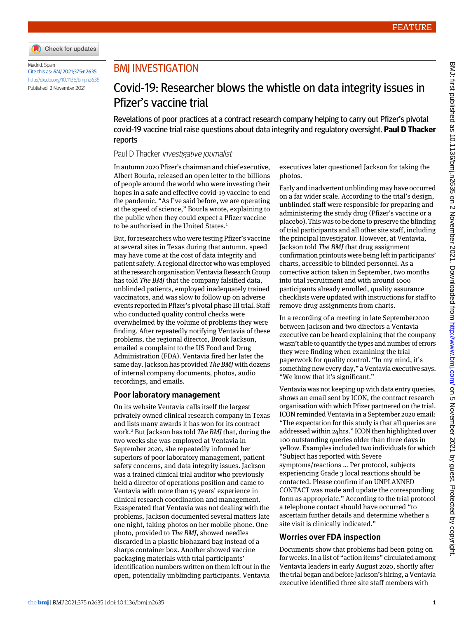

Madrid, Spain Cite this as: BMJ 2021;375:n2635 <http://dx.doi.org/10.1136/bmj.n2635> Published: 2 November 2021

## BMJ INVESTIGATION

# Covid-19: Researcher blows the whistle on data integrity issues in Pfizer's vaccine trial

Revelations of poor practices at a contract research company helping to carry out Pfizer's pivotal covid-19 vaccine trial raise questions about data integrity and regulatory oversight. **Paul D Thacker** reports

### Paul D Thacker investigative journalist

In autumn 2020 Pfizer's chairman and chief executive, Albert Bourla, released an open letter to the billions of people around the world who were investing their hopes in a safe and effective covid-19 vaccine to end the pandemic. "As I've said before, we are operating at the speed of science," Bourla wrote, explaining to the public when they could expect a Pfizer vaccine to be authorised in the United States.<sup>[1](#page-2-0)</sup>

But, for researchers who were testing Pfizer's vaccine at several sites in Texas during that autumn, speed may have come at the cost of data integrity and patient safety. A regional director who was employed at the research organisation Ventavia Research Group has told *The BMJ* that the company falsified data, unblinded patients, employed inadequately trained vaccinators, and was slow to follow up on adverse events reported in Pfizer's pivotal phase III trial. Staff who conducted quality control checks were overwhelmed by the volume of problems they were finding. After repeatedly notifying Ventavia of these problems, the regional director, Brook Jackson, emailed a complaint to the US Food and Drug Administration (FDA). Ventavia fired her later the same day. Jackson has provided *The BMJ* with dozens of internal company documents, photos, audio recordings, and emails.

## **Poor laboratory management**

On its website Ventavia calls itself the largest privately owned clinical research company in Texas and lists many awards it has won for its contract work.[2](#page-2-1) But Jackson has told *The BMJ* that, during the two weeks she was employed at Ventavia in September 2020, she repeatedly informed her superiors of poor laboratory management, patient safety concerns, and data integrity issues. Jackson was a trained clinical trial auditor who previously held a director of operations position and came to Ventavia with more than 15 years' experience in clinical research coordination and management. Exasperated that Ventavia was not dealing with the problems, Jackson documented several matters late one night, taking photos on her mobile phone. One photo, provided to *The BMJ*, showed needles discarded in a plastic biohazard bag instead of a sharps container box. Another showed vaccine packaging materials with trial participants' identification numbers written on them left out in the open, potentially unblinding participants. Ventavia

executives later questioned Jackson for taking the photos.

Early and inadvertent unblinding may have occurred on a far wider scale. According to the trial's design, unblinded staff were responsible for preparing and administering the study drug (Pfizer's vaccine or a placebo). This was to be done to preserve the blinding of trial participants and all other site staff, including the principal investigator. However, at Ventavia, Jackson told *The BMJ* that drug assignment confirmation printouts were being left in participants' charts, accessible to blinded personnel. As a corrective action taken in September, two months into trial recruitment and with around 1000 participants already enrolled, quality assurance checklists were updated with instructions for staff to remove drug assignments from charts.

In a recording of a meeting in late September2020 between Jackson and two directors a Ventavia executive can be heard explaining that the company wasn't able to quantify the types and number of errors they were finding when examining the trial paperwork for quality control. "In my mind, it's something new every day," a Ventavia executive says. "We know that it's significant."

Ventavia was not keeping up with data entry queries, shows an email sent by ICON, the contract research organisation with which Pfizer partnered on the trial. ICON reminded Ventavia in a September 2020 email: "The expectation for this study is that all queries are addressed within 24hrs." ICON then highlighted over 100 outstanding queries older than three days in yellow. Examples included two individuals for which "Subject has reported with Severe symptoms/reactions … Per protocol, subjects experiencing Grade 3 local reactions should be contacted. Please confirm if an UNPLANNED CONTACT was made and update the corresponding form as appropriate." According to the trial protocol a telephone contact should have occurred "to ascertain further details and determine whether a site visit is clinically indicated."

## **Worries over FDA inspection**

Documents show that problems had been going on for weeks. In a list of "action items" circulated among Ventavia leaders in early August 2020, shortly after the trial began and before Jackson's hiring, a Ventavia executive identified three site staff members with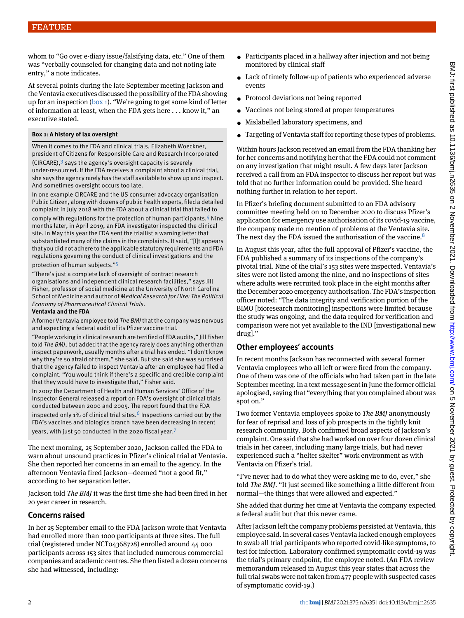whom to "Go over e-diary issue/falsifying data, etc." One of them was "verbally counseled for changing data and not noting late entry," a note indicates.

At several points during the late September meeting Jackson and the Ventavia executives discussed the possibility of the FDA showing up for an inspection  $(box_1)$ . "We're going to get some kind of letter of information at least, when the FDA gets here . . . know it," an executive stated.

#### <span id="page-1-0"></span>**Box 1: A history of lax oversight**

When it comes to the FDA and clinical trials, Elizabeth Woeckner, president of Citizens for Responsible Care and Research Incorporated

 $(CIRCARE),$ <sup>[3](#page-2-2)</sup> says the agency's oversight capacity is severely under-resourced. If the FDA receives a complaint about a clinical trial, she says the agency rarely has the staff available to show up and inspect. And sometimes oversight occurs too late.

In one example CIRCARE and the US consumer advocacy organisation Public Citizen, along with dozens of public health experts, filed a detailed complaint in July 2018 with the FDA about a clinical trial that failed to

comply with regulations for the protection of human participants.[4](#page-2-3) Nine months later, in April 2019, an FDA investigator inspected the clinical site. In May this year the FDA sent the triallist a warning letter that substantiated many of the claims in the complaints. It said, "[I]t appears that you did not adhere to the applicable statutory requirements and FDA regulations governing the conduct of clinical investigations and the protection of human subjects." [5](#page-2-4)

"There's just a complete lack of oversight of contract research organisations and independent clinical research facilities," says Jill Fisher, professor of social medicine at the University of North Carolina School of Medicine and author of *Medical Research for Hire: The Political Economy of Pharmaceutical Clinical Trials*.

#### **Ventavia and the FDA**

A former Ventavia employee told *The BMJ* that the company was nervous and expecting a federal audit of its Pfizer vaccine trial.

"People working in clinical research are terrified of FDA audits," Jill Fisher told *The BMJ*, but added that the agency rarely does anything other than inspect paperwork, usually months after a trial has ended. "I don't know why they're so afraid of them," she said. But she said she was surprised that the agency failed to inspect Ventavia after an employee had filed a complaint. "You would think if there's a specific and credible complaint that they would have to investigate that," Fisher said.

In 2007 the Department of Health and Human Services' Office of the Inspector General released a report on FDA's oversight of clinical trials conducted between 2000 and 2005. The report found that the FDA inspected only 1% of clinical trial sites.<sup>[6](#page-2-5)</sup> Inspections carried out by the FDA's vaccines and biologics branch have been decreasing in recent years, with just 50 conducted in the 2020 fiscal year.[7](#page-2-6)

The next morning, 25 September 2020, Jackson called the FDA to warn about unsound practices in Pfizer's clinical trial at Ventavia. She then reported her concerns in an email to the agency. In the afternoon Ventavia fired Jackson—deemed "not a good fit," according to her separation letter.

Jackson told *The BMJ* it was the first time she had been fired in her 20 year career in research.

### **Concerns raised**

In her 25 September email to the FDA Jackson wrote that Ventavia had enrolled more than 1000 participants at three sites. The full trial (registered under NCT04368728) enrolled around 44 000 participants across 153 sites that included numerous commercial companies and academic centres. She then listed a dozen concerns she had witnessed, including:

- Participants placed in a hallway after injection and not being monitored by clinical staff
- Lack of timely follow-up of patients who experienced adverse events
- Protocol deviations not being reported
- Vaccines not being stored at proper temperatures
- Mislabelled laboratory specimens, and
- Targeting of Ventavia staff for reporting these types of problems.

Within hours Jackson received an email from the FDA thanking her for her concerns and notifying her that the FDA could not comment on any investigation that might result. A few days later Jackson received a call from an FDA inspector to discuss her report but was told that no further information could be provided. She heard nothing further in relation to her report.

In Pfizer's briefing document submitted to an FDA advisory committee meeting held on 10 December 2020 to discuss Pfizer's application for emergency use authorisation of its covid-19 vaccine, the company made no mention of problems at the Ventavia site. The next day the FDA issued the authorisation of the vaccine.<sup>[8](#page-2-7)</sup>

In August this year, after the full approval of Pfizer's vaccine, the FDA published a summary of its inspections of the company's pivotal trial. Nine of the trial's 153 sites were inspected. Ventavia's sites were not listed among the nine, and no inspections of sites where adults were recruited took place in the eight months after the December 2020 emergency authorisation. The FDA's inspection officer noted: "The data integrity and verification portion of the BIMO [bioresearch monitoring] inspections were limited because the study was ongoing, and the data required for verification and comparison were not yet available to the IND [investigational new drug]."

## **Other employees' accounts**

In recent months Jackson has reconnected with several former Ventavia employees who all left or were fired from the company. One of them was one of the officials who had taken part in the late September meeting. In a text message sent in June the former official apologised, saying that "everything that you complained about was spot on."

Two former Ventavia employees spoke to *The BMJ* anonymously for fear of reprisal and loss of job prospects in the tightly knit research community. Both confirmed broad aspects of Jackson's complaint. One said that she had worked on over four dozen clinical trials in her career, including many large trials, but had never experienced such a "helter skelter" work environment as with Ventavia on Pfizer's trial.

"I've never had to do what they were asking me to do, ever," she told *The BMJ*. "It just seemed like something a little different from normal—the things that were allowed and expected."

She added that during her time at Ventavia the company expected a federal audit but that this never came.

After Jackson left the company problems persisted at Ventavia, this employee said. In several cases Ventavia lacked enough employees to swab all trial participants who reported covid-like symptoms, to test for infection. Laboratory confirmed symptomatic covid-19 was the trial's primary endpoint, the employee noted. (An FDA review memorandum released in August this year states that across the full trial swabs were not taken from 477 people with suspected cases of symptomatic covid-19.)